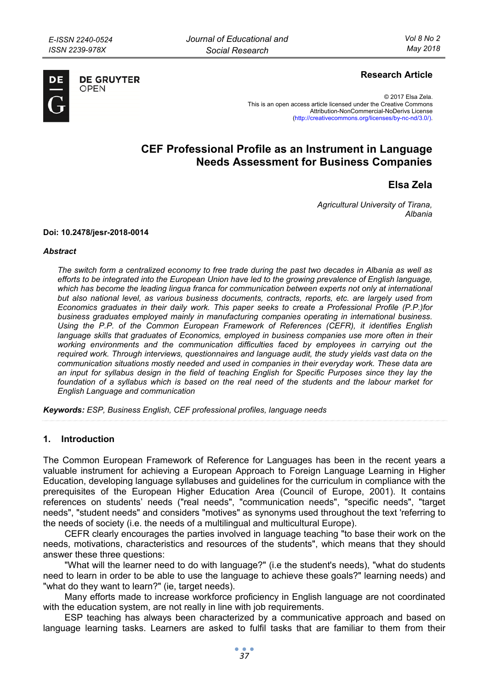

**DE GRUYTER** OPFN

## **Research Article**

© 2017 Elsa Zela. This is an open access article licensed under the Creative Commons Attribution-NonCommercial-NoDerivs License (http://creativecommons.org/licenses/by-nc-nd/3.0/).

# **CEF Professional Profile as an Instrument in Language Needs Assessment for Business Companies**

**Elsa Zela** 

*Agricultural University of Tirana, Albania* 

#### **Doi: 10.2478/jesr-2018-0014**

#### *Abstract*

*The switch form a centralized economy to free trade during the past two decades in Albania as well as efforts to be integrated into the European Union have led to the growing prevalence of English language,*  which has become the leading lingua franca for communication between experts not only at international *but also national level, as various business documents, contracts, reports, etc. are largely used from Economics graduates in their daily work. This paper seeks to create a Professional Profile (P.P.)for business graduates employed mainly in manufacturing companies operating in international business. Using the P.P. of the Common European Framework of References (CEFR), it identifies English language skills that graduates of Economics, employed in business companies use more often in their working environments and the communication difficulties faced by employees in carrying out the required work. Through interviews, questionnaires and language audit, the study yields vast data on the communication situations mostly needed and used in companies in their everyday work. These data are an input for syllabus design in the field of teaching English for Specific Purposes since they lay the foundation of a syllabus which is based on the real need of the students and the labour market for English Language and communication* 

*Keywords: ESP, Business English, CEF professional profiles, language needs* 

#### **1. Introduction**

The Common European Framework of Reference for Languages has been in the recent years a valuable instrument for achieving a European Approach to Foreign Language Learning in Higher Education, developing language syllabuses and guidelines for the curriculum in compliance with the prerequisites of the European Higher Education Area (Council of Europe, 2001). It contains references on students' needs ("real needs", "communication needs", "specific needs", "target needs", "student needs" and considers "motives" as synonyms used throughout the text 'referring to the needs of society (i.e. the needs of a multilingual and multicultural Europe).

CEFR clearly encourages the parties involved in language teaching "to base their work on the needs, motivations, characteristics and resources of the students", which means that they should answer these three questions:

"What will the learner need to do with language?" (i.e the student's needs), "what do students need to learn in order to be able to use the language to achieve these goals?" learning needs) and "what do they want to learn?" (ie, target needs).

Many efforts made to increase workforce proficiency in English language are not coordinated with the education system, are not really in line with job requirements.

ESP teaching has always been characterized by a communicative approach and based on language learning tasks. Learners are asked to fulfil tasks that are familiar to them from their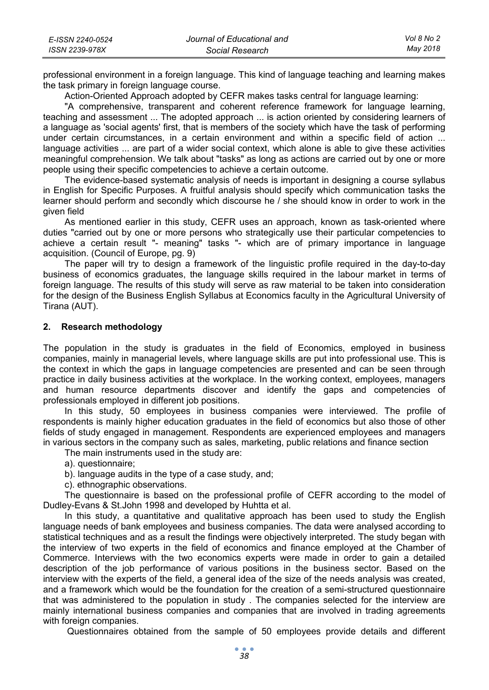| E-ISSN 2240-0524 | Journal of Educational and | Vol 8 No 2 |
|------------------|----------------------------|------------|
| ISSN 2239-978X   | Social Research            | Mav 2018   |

professional environment in a foreign language. This kind of language teaching and learning makes the task primary in foreign language course.

Action-Oriented Approach adopted by CEFR makes tasks central for language learning:

"A comprehensive, transparent and coherent reference framework for language learning, teaching and assessment ... The adopted approach ... is action oriented by considering learners of a language as 'social agents' first, that is members of the society which have the task of performing under certain circumstances, in a certain environment and within a specific field of action ... language activities ... are part of a wider social context, which alone is able to give these activities meaningful comprehension. We talk about "tasks" as long as actions are carried out by one or more people using their specific competencies to achieve a certain outcome.

The evidence-based systematic analysis of needs is important in designing a course syllabus in English for Specific Purposes. A fruitful analysis should specify which communication tasks the learner should perform and secondly which discourse he / she should know in order to work in the given field

As mentioned earlier in this study, CEFR uses an approach, known as task-oriented where duties "carried out by one or more persons who strategically use their particular competencies to achieve a certain result "- meaning" tasks "- which are of primary importance in language acquisition. (Council of Europe, pg. 9)

The paper will try to design a framework of the linguistic profile required in the day-to-day business of economics graduates, the language skills required in the labour market in terms of foreign language. The results of this study will serve as raw material to be taken into consideration for the design of the Business English Syllabus at Economics faculty in the Agricultural University of Tirana (AUT).

#### **2. Research methodology**

The population in the study is graduates in the field of Economics, employed in business companies, mainly in managerial levels, where language skills are put into professional use. This is the context in which the gaps in language competencies are presented and can be seen through practice in daily business activities at the workplace. In the working context, employees, managers and human resource departments discover and identify the gaps and competencies of professionals employed in different job positions.

In this study, 50 employees in business companies were interviewed. The profile of respondents is mainly higher education graduates in the field of economics but also those of other fields of study engaged in management. Respondents are experienced employees and managers in various sectors in the company such as sales, marketing, public relations and finance section

The main instruments used in the study are:

- a). questionnaire;
- b). language audits in the type of a case study, and;
- c). ethnographic observations.

The questionnaire is based on the professional profile of CEFR according to the model of Dudley-Evans & St.John 1998 and developed by Huhtta et al.

In this study, a quantitative and qualitative approach has been used to study the English language needs of bank employees and business companies. The data were analysed according to statistical techniques and as a result the findings were objectively interpreted. The study began with the interview of two experts in the field of economics and finance employed at the Chamber of Commerce. Interviews with the two economics experts were made in order to gain a detailed description of the job performance of various positions in the business sector. Based on the interview with the experts of the field, a general idea of the size of the needs analysis was created, and a framework which would be the foundation for the creation of a semi-structured questionnaire that was administered to the population in study . The companies selected for the interview are mainly international business companies and companies that are involved in trading agreements with foreign companies.

Questionnaires obtained from the sample of 50 employees provide details and different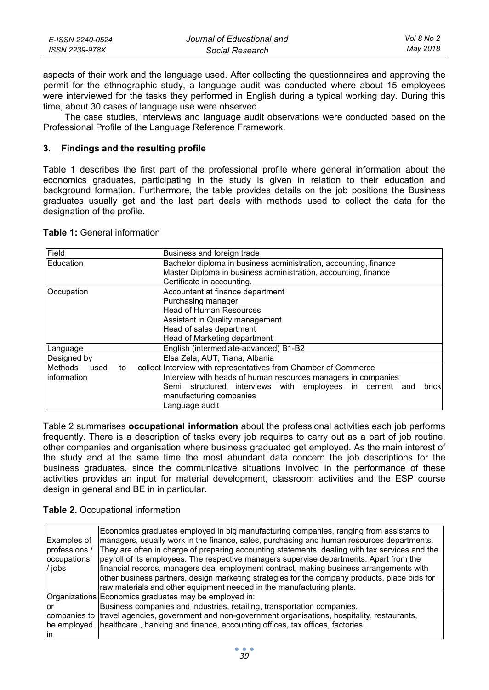| E-ISSN 2240-0524 | Journal of Educational and | Vol 8 No 2 |
|------------------|----------------------------|------------|
| ISSN 2239-978X   | Social Research            | May 2018   |

aspects of their work and the language used. After collecting the questionnaires and approving the permit for the ethnographic study, a language audit was conducted where about 15 employees were interviewed for the tasks they performed in English during a typical working day. During this time, about 30 cases of language use were observed.

The case studies, interviews and language audit observations were conducted based on the Professional Profile of the Language Reference Framework.

### **3. Findings and the resulting profile**

Table 1 describes the first part of the professional profile where general information about the economics graduates, participating in the study is given in relation to their education and background formation. Furthermore, the table provides details on the job positions the Business graduates usually get and the last part deals with methods used to collect the data for the designation of the profile.

| <b>Table 1: General information</b> |  |
|-------------------------------------|--|
|-------------------------------------|--|

| Field                        | Business and foreign trade                                       |
|------------------------------|------------------------------------------------------------------|
| Education                    | Bachelor diploma in business administration, accounting, finance |
|                              | Master Diploma in business administration, accounting, finance   |
|                              | Certificate in accounting.                                       |
| Occupation                   | Accountant at finance department                                 |
|                              | Purchasing manager                                               |
|                              | <b>Head of Human Resources</b>                                   |
|                              | Assistant in Quality management                                  |
|                              | Head of sales department                                         |
|                              | Head of Marketing department                                     |
| Language                     | English (intermediate-advanced) B1-B2                            |
| Designed by                  | Elsa Zela, AUT, Tiana, Albania                                   |
| <b>Methods</b><br>used<br>to | collect Interview with representatives from Chamber of Commerce  |
| linformation                 | Interview with heads of human resources managers in companies    |
|                              | Semi structured interviews with employees in cement and<br>brick |
|                              | manufacturing companies                                          |
|                              | Language audit                                                   |

Table 2 summarises **occupational information** about the professional activities each job performs frequently. There is a description of tasks every job requires to carry out as a part of job routine, other companies and organisation where business graduated get employed. As the main interest of the study and at the same time the most abundant data concern the job descriptions for the business graduates, since the communicative situations involved in the performance of these activities provides an input for material development, classroom activities and the ESP course design in general and BE in in particular.

| <b>Table 2. Occupational information</b> |  |
|------------------------------------------|--|
|------------------------------------------|--|

| Examples of<br>professions /<br>occupations<br>/ jobs | Economics graduates employed in big manufacturing companies, ranging from assistants to<br>managers, usually work in the finance, sales, purchasing and human resources departments.<br>They are often in charge of preparing accounting statements, dealing with tax services and the<br>payroll of its employees. The respective managers supervise departments. Apart from the<br>financial records, managers deal employment contract, making business arrangements with<br>other business partners, design marketing strategies for the company products, place bids for<br>raw materials and other equipment needed in the manufacturing plants. |
|-------------------------------------------------------|--------------------------------------------------------------------------------------------------------------------------------------------------------------------------------------------------------------------------------------------------------------------------------------------------------------------------------------------------------------------------------------------------------------------------------------------------------------------------------------------------------------------------------------------------------------------------------------------------------------------------------------------------------|
|                                                       | Organizations Economics graduates may be employed in:                                                                                                                                                                                                                                                                                                                                                                                                                                                                                                                                                                                                  |
| lor                                                   | Business companies and industries, retailing, transportation companies,                                                                                                                                                                                                                                                                                                                                                                                                                                                                                                                                                                                |
|                                                       | companies to travel agencies, government and non-government organisations, hospitality, restaurants,                                                                                                                                                                                                                                                                                                                                                                                                                                                                                                                                                   |
|                                                       | be employed   healthcare, banking and finance, accounting offices, tax offices, factories.                                                                                                                                                                                                                                                                                                                                                                                                                                                                                                                                                             |
| lin                                                   |                                                                                                                                                                                                                                                                                                                                                                                                                                                                                                                                                                                                                                                        |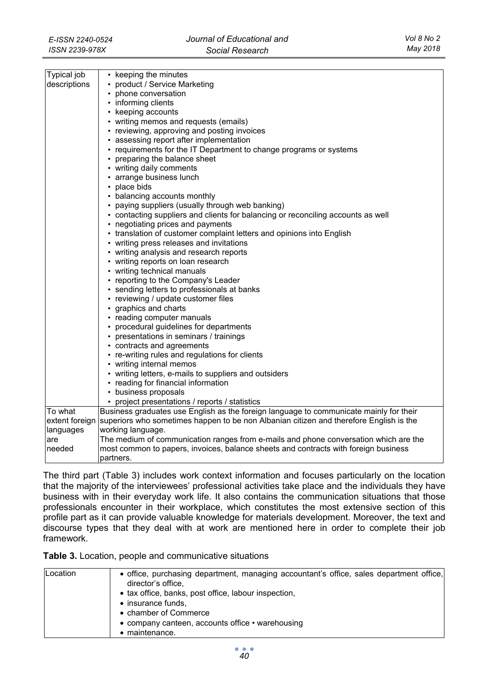| Typical job<br>• keeping the minutes<br>descriptions<br>• product / Service Marketing<br>• phone conversation<br>• informing clients<br>• keeping accounts<br>• writing memos and requests (emails)<br>• reviewing, approving and posting invoices<br>• assessing report after implementation<br>• requirements for the IT Department to change programs or systems<br>• preparing the balance sheet<br>• writing daily comments<br>• arrange business lunch<br>• place bids<br>• balancing accounts monthly<br>• paying suppliers (usually through web banking)<br>• contacting suppliers and clients for balancing or reconciling accounts as well<br>• negotiating prices and payments<br>• translation of customer complaint letters and opinions into English<br>• writing press releases and invitations<br>• writing analysis and research reports<br>• writing reports on loan research<br>• writing technical manuals<br>• reporting to the Company's Leader<br>• sending letters to professionals at banks<br>• reviewing / update customer files<br>• graphics and charts<br>• reading computer manuals<br>• procedural guidelines for departments<br>• presentations in seminars / trainings<br>• contracts and agreements<br>• re-writing rules and regulations for clients<br>• writing internal memos<br>• writing letters, e-mails to suppliers and outsiders<br>• reading for financial information<br>• business proposals<br>• project presentations / reports / statistics<br>Business graduates use English as the foreign language to communicate mainly for their<br>To what<br>extent foreign<br>superiors who sometimes happen to be non Albanian citizen and therefore English is the<br>working language.<br>languages<br>The medium of communication ranges from e-mails and phone conversation which are the<br>are<br>needed<br>most common to papers, invoices, balance sheets and contracts with foreign business<br>partners. |  |  |  |
|----------------------------------------------------------------------------------------------------------------------------------------------------------------------------------------------------------------------------------------------------------------------------------------------------------------------------------------------------------------------------------------------------------------------------------------------------------------------------------------------------------------------------------------------------------------------------------------------------------------------------------------------------------------------------------------------------------------------------------------------------------------------------------------------------------------------------------------------------------------------------------------------------------------------------------------------------------------------------------------------------------------------------------------------------------------------------------------------------------------------------------------------------------------------------------------------------------------------------------------------------------------------------------------------------------------------------------------------------------------------------------------------------------------------------------------------------------------------------------------------------------------------------------------------------------------------------------------------------------------------------------------------------------------------------------------------------------------------------------------------------------------------------------------------------------------------------------------------------------------------------------------------------------------------------------------------------------------|--|--|--|
|                                                                                                                                                                                                                                                                                                                                                                                                                                                                                                                                                                                                                                                                                                                                                                                                                                                                                                                                                                                                                                                                                                                                                                                                                                                                                                                                                                                                                                                                                                                                                                                                                                                                                                                                                                                                                                                                                                                                                                |  |  |  |
|                                                                                                                                                                                                                                                                                                                                                                                                                                                                                                                                                                                                                                                                                                                                                                                                                                                                                                                                                                                                                                                                                                                                                                                                                                                                                                                                                                                                                                                                                                                                                                                                                                                                                                                                                                                                                                                                                                                                                                |  |  |  |
|                                                                                                                                                                                                                                                                                                                                                                                                                                                                                                                                                                                                                                                                                                                                                                                                                                                                                                                                                                                                                                                                                                                                                                                                                                                                                                                                                                                                                                                                                                                                                                                                                                                                                                                                                                                                                                                                                                                                                                |  |  |  |
|                                                                                                                                                                                                                                                                                                                                                                                                                                                                                                                                                                                                                                                                                                                                                                                                                                                                                                                                                                                                                                                                                                                                                                                                                                                                                                                                                                                                                                                                                                                                                                                                                                                                                                                                                                                                                                                                                                                                                                |  |  |  |
|                                                                                                                                                                                                                                                                                                                                                                                                                                                                                                                                                                                                                                                                                                                                                                                                                                                                                                                                                                                                                                                                                                                                                                                                                                                                                                                                                                                                                                                                                                                                                                                                                                                                                                                                                                                                                                                                                                                                                                |  |  |  |
|                                                                                                                                                                                                                                                                                                                                                                                                                                                                                                                                                                                                                                                                                                                                                                                                                                                                                                                                                                                                                                                                                                                                                                                                                                                                                                                                                                                                                                                                                                                                                                                                                                                                                                                                                                                                                                                                                                                                                                |  |  |  |
|                                                                                                                                                                                                                                                                                                                                                                                                                                                                                                                                                                                                                                                                                                                                                                                                                                                                                                                                                                                                                                                                                                                                                                                                                                                                                                                                                                                                                                                                                                                                                                                                                                                                                                                                                                                                                                                                                                                                                                |  |  |  |
|                                                                                                                                                                                                                                                                                                                                                                                                                                                                                                                                                                                                                                                                                                                                                                                                                                                                                                                                                                                                                                                                                                                                                                                                                                                                                                                                                                                                                                                                                                                                                                                                                                                                                                                                                                                                                                                                                                                                                                |  |  |  |
|                                                                                                                                                                                                                                                                                                                                                                                                                                                                                                                                                                                                                                                                                                                                                                                                                                                                                                                                                                                                                                                                                                                                                                                                                                                                                                                                                                                                                                                                                                                                                                                                                                                                                                                                                                                                                                                                                                                                                                |  |  |  |
|                                                                                                                                                                                                                                                                                                                                                                                                                                                                                                                                                                                                                                                                                                                                                                                                                                                                                                                                                                                                                                                                                                                                                                                                                                                                                                                                                                                                                                                                                                                                                                                                                                                                                                                                                                                                                                                                                                                                                                |  |  |  |
|                                                                                                                                                                                                                                                                                                                                                                                                                                                                                                                                                                                                                                                                                                                                                                                                                                                                                                                                                                                                                                                                                                                                                                                                                                                                                                                                                                                                                                                                                                                                                                                                                                                                                                                                                                                                                                                                                                                                                                |  |  |  |
|                                                                                                                                                                                                                                                                                                                                                                                                                                                                                                                                                                                                                                                                                                                                                                                                                                                                                                                                                                                                                                                                                                                                                                                                                                                                                                                                                                                                                                                                                                                                                                                                                                                                                                                                                                                                                                                                                                                                                                |  |  |  |
|                                                                                                                                                                                                                                                                                                                                                                                                                                                                                                                                                                                                                                                                                                                                                                                                                                                                                                                                                                                                                                                                                                                                                                                                                                                                                                                                                                                                                                                                                                                                                                                                                                                                                                                                                                                                                                                                                                                                                                |  |  |  |
|                                                                                                                                                                                                                                                                                                                                                                                                                                                                                                                                                                                                                                                                                                                                                                                                                                                                                                                                                                                                                                                                                                                                                                                                                                                                                                                                                                                                                                                                                                                                                                                                                                                                                                                                                                                                                                                                                                                                                                |  |  |  |
|                                                                                                                                                                                                                                                                                                                                                                                                                                                                                                                                                                                                                                                                                                                                                                                                                                                                                                                                                                                                                                                                                                                                                                                                                                                                                                                                                                                                                                                                                                                                                                                                                                                                                                                                                                                                                                                                                                                                                                |  |  |  |
|                                                                                                                                                                                                                                                                                                                                                                                                                                                                                                                                                                                                                                                                                                                                                                                                                                                                                                                                                                                                                                                                                                                                                                                                                                                                                                                                                                                                                                                                                                                                                                                                                                                                                                                                                                                                                                                                                                                                                                |  |  |  |
|                                                                                                                                                                                                                                                                                                                                                                                                                                                                                                                                                                                                                                                                                                                                                                                                                                                                                                                                                                                                                                                                                                                                                                                                                                                                                                                                                                                                                                                                                                                                                                                                                                                                                                                                                                                                                                                                                                                                                                |  |  |  |
|                                                                                                                                                                                                                                                                                                                                                                                                                                                                                                                                                                                                                                                                                                                                                                                                                                                                                                                                                                                                                                                                                                                                                                                                                                                                                                                                                                                                                                                                                                                                                                                                                                                                                                                                                                                                                                                                                                                                                                |  |  |  |
|                                                                                                                                                                                                                                                                                                                                                                                                                                                                                                                                                                                                                                                                                                                                                                                                                                                                                                                                                                                                                                                                                                                                                                                                                                                                                                                                                                                                                                                                                                                                                                                                                                                                                                                                                                                                                                                                                                                                                                |  |  |  |
|                                                                                                                                                                                                                                                                                                                                                                                                                                                                                                                                                                                                                                                                                                                                                                                                                                                                                                                                                                                                                                                                                                                                                                                                                                                                                                                                                                                                                                                                                                                                                                                                                                                                                                                                                                                                                                                                                                                                                                |  |  |  |
|                                                                                                                                                                                                                                                                                                                                                                                                                                                                                                                                                                                                                                                                                                                                                                                                                                                                                                                                                                                                                                                                                                                                                                                                                                                                                                                                                                                                                                                                                                                                                                                                                                                                                                                                                                                                                                                                                                                                                                |  |  |  |
|                                                                                                                                                                                                                                                                                                                                                                                                                                                                                                                                                                                                                                                                                                                                                                                                                                                                                                                                                                                                                                                                                                                                                                                                                                                                                                                                                                                                                                                                                                                                                                                                                                                                                                                                                                                                                                                                                                                                                                |  |  |  |
|                                                                                                                                                                                                                                                                                                                                                                                                                                                                                                                                                                                                                                                                                                                                                                                                                                                                                                                                                                                                                                                                                                                                                                                                                                                                                                                                                                                                                                                                                                                                                                                                                                                                                                                                                                                                                                                                                                                                                                |  |  |  |
|                                                                                                                                                                                                                                                                                                                                                                                                                                                                                                                                                                                                                                                                                                                                                                                                                                                                                                                                                                                                                                                                                                                                                                                                                                                                                                                                                                                                                                                                                                                                                                                                                                                                                                                                                                                                                                                                                                                                                                |  |  |  |
|                                                                                                                                                                                                                                                                                                                                                                                                                                                                                                                                                                                                                                                                                                                                                                                                                                                                                                                                                                                                                                                                                                                                                                                                                                                                                                                                                                                                                                                                                                                                                                                                                                                                                                                                                                                                                                                                                                                                                                |  |  |  |
|                                                                                                                                                                                                                                                                                                                                                                                                                                                                                                                                                                                                                                                                                                                                                                                                                                                                                                                                                                                                                                                                                                                                                                                                                                                                                                                                                                                                                                                                                                                                                                                                                                                                                                                                                                                                                                                                                                                                                                |  |  |  |
|                                                                                                                                                                                                                                                                                                                                                                                                                                                                                                                                                                                                                                                                                                                                                                                                                                                                                                                                                                                                                                                                                                                                                                                                                                                                                                                                                                                                                                                                                                                                                                                                                                                                                                                                                                                                                                                                                                                                                                |  |  |  |
|                                                                                                                                                                                                                                                                                                                                                                                                                                                                                                                                                                                                                                                                                                                                                                                                                                                                                                                                                                                                                                                                                                                                                                                                                                                                                                                                                                                                                                                                                                                                                                                                                                                                                                                                                                                                                                                                                                                                                                |  |  |  |
|                                                                                                                                                                                                                                                                                                                                                                                                                                                                                                                                                                                                                                                                                                                                                                                                                                                                                                                                                                                                                                                                                                                                                                                                                                                                                                                                                                                                                                                                                                                                                                                                                                                                                                                                                                                                                                                                                                                                                                |  |  |  |
|                                                                                                                                                                                                                                                                                                                                                                                                                                                                                                                                                                                                                                                                                                                                                                                                                                                                                                                                                                                                                                                                                                                                                                                                                                                                                                                                                                                                                                                                                                                                                                                                                                                                                                                                                                                                                                                                                                                                                                |  |  |  |
|                                                                                                                                                                                                                                                                                                                                                                                                                                                                                                                                                                                                                                                                                                                                                                                                                                                                                                                                                                                                                                                                                                                                                                                                                                                                                                                                                                                                                                                                                                                                                                                                                                                                                                                                                                                                                                                                                                                                                                |  |  |  |
|                                                                                                                                                                                                                                                                                                                                                                                                                                                                                                                                                                                                                                                                                                                                                                                                                                                                                                                                                                                                                                                                                                                                                                                                                                                                                                                                                                                                                                                                                                                                                                                                                                                                                                                                                                                                                                                                                                                                                                |  |  |  |
|                                                                                                                                                                                                                                                                                                                                                                                                                                                                                                                                                                                                                                                                                                                                                                                                                                                                                                                                                                                                                                                                                                                                                                                                                                                                                                                                                                                                                                                                                                                                                                                                                                                                                                                                                                                                                                                                                                                                                                |  |  |  |
|                                                                                                                                                                                                                                                                                                                                                                                                                                                                                                                                                                                                                                                                                                                                                                                                                                                                                                                                                                                                                                                                                                                                                                                                                                                                                                                                                                                                                                                                                                                                                                                                                                                                                                                                                                                                                                                                                                                                                                |  |  |  |
|                                                                                                                                                                                                                                                                                                                                                                                                                                                                                                                                                                                                                                                                                                                                                                                                                                                                                                                                                                                                                                                                                                                                                                                                                                                                                                                                                                                                                                                                                                                                                                                                                                                                                                                                                                                                                                                                                                                                                                |  |  |  |
|                                                                                                                                                                                                                                                                                                                                                                                                                                                                                                                                                                                                                                                                                                                                                                                                                                                                                                                                                                                                                                                                                                                                                                                                                                                                                                                                                                                                                                                                                                                                                                                                                                                                                                                                                                                                                                                                                                                                                                |  |  |  |
|                                                                                                                                                                                                                                                                                                                                                                                                                                                                                                                                                                                                                                                                                                                                                                                                                                                                                                                                                                                                                                                                                                                                                                                                                                                                                                                                                                                                                                                                                                                                                                                                                                                                                                                                                                                                                                                                                                                                                                |  |  |  |
|                                                                                                                                                                                                                                                                                                                                                                                                                                                                                                                                                                                                                                                                                                                                                                                                                                                                                                                                                                                                                                                                                                                                                                                                                                                                                                                                                                                                                                                                                                                                                                                                                                                                                                                                                                                                                                                                                                                                                                |  |  |  |
|                                                                                                                                                                                                                                                                                                                                                                                                                                                                                                                                                                                                                                                                                                                                                                                                                                                                                                                                                                                                                                                                                                                                                                                                                                                                                                                                                                                                                                                                                                                                                                                                                                                                                                                                                                                                                                                                                                                                                                |  |  |  |
|                                                                                                                                                                                                                                                                                                                                                                                                                                                                                                                                                                                                                                                                                                                                                                                                                                                                                                                                                                                                                                                                                                                                                                                                                                                                                                                                                                                                                                                                                                                                                                                                                                                                                                                                                                                                                                                                                                                                                                |  |  |  |
|                                                                                                                                                                                                                                                                                                                                                                                                                                                                                                                                                                                                                                                                                                                                                                                                                                                                                                                                                                                                                                                                                                                                                                                                                                                                                                                                                                                                                                                                                                                                                                                                                                                                                                                                                                                                                                                                                                                                                                |  |  |  |
|                                                                                                                                                                                                                                                                                                                                                                                                                                                                                                                                                                                                                                                                                                                                                                                                                                                                                                                                                                                                                                                                                                                                                                                                                                                                                                                                                                                                                                                                                                                                                                                                                                                                                                                                                                                                                                                                                                                                                                |  |  |  |
|                                                                                                                                                                                                                                                                                                                                                                                                                                                                                                                                                                                                                                                                                                                                                                                                                                                                                                                                                                                                                                                                                                                                                                                                                                                                                                                                                                                                                                                                                                                                                                                                                                                                                                                                                                                                                                                                                                                                                                |  |  |  |

The third part (Table 3) includes work context information and focuses particularly on the location that the majority of the interviewees' professional activities take place and the individuals they have business with in their everyday work life. It also contains the communication situations that those professionals encounter in their workplace, which constitutes the most extensive section of this profile part as it can provide valuable knowledge for materials development. Moreover, the text and discourse types that they deal with at work are mentioned here in order to complete their job framework.

**Table 3.** Location, people and communicative situations

| Location | • office, purchasing department, managing accountant's office, sales department office, |
|----------|-----------------------------------------------------------------------------------------|
|          | director's office.                                                                      |
|          | • tax office, banks, post office, labour inspection,                                    |
|          | • insurance funds,                                                                      |
|          | • chamber of Commerce                                                                   |
|          | • company canteen, accounts office • warehousing                                        |
|          | $\bullet$ maintenance.                                                                  |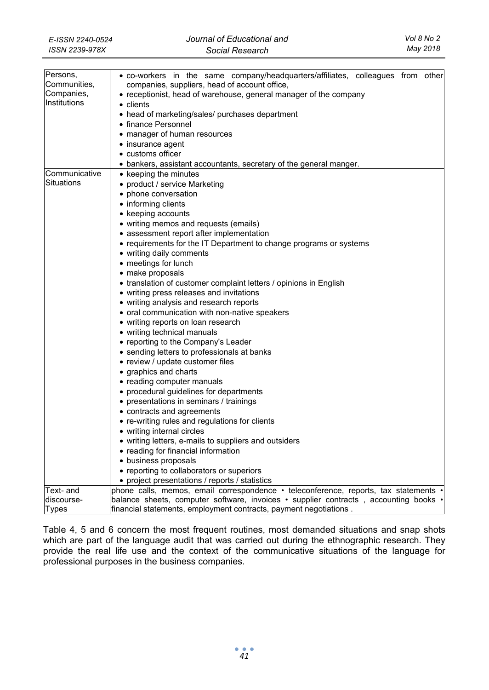| Persons,      | . co-workers in the same company/headquarters/affiliates, colleagues from other      |
|---------------|--------------------------------------------------------------------------------------|
| Communities,  | companies, suppliers, head of account office,                                        |
| Companies,    | • receptionist, head of warehouse, general manager of the company                    |
| Institutions  | $\bullet$ clients                                                                    |
|               | • head of marketing/sales/ purchases department                                      |
|               | • finance Personnel                                                                  |
|               | • manager of human resources                                                         |
|               | • insurance agent                                                                    |
|               | • customs officer                                                                    |
|               | • bankers, assistant accountants, secretary of the general manger.                   |
| Communicative | • keeping the minutes                                                                |
| Situations    | • product / service Marketing                                                        |
|               | • phone conversation                                                                 |
|               | • informing clients                                                                  |
|               |                                                                                      |
|               | • keeping accounts                                                                   |
|               | • writing memos and requests (emails)                                                |
|               | • assessment report after implementation                                             |
|               | • requirements for the IT Department to change programs or systems                   |
|               | • writing daily comments                                                             |
|               | • meetings for lunch                                                                 |
|               | • make proposals                                                                     |
|               | • translation of customer complaint letters / opinions in English                    |
|               | • writing press releases and invitations                                             |
|               | • writing analysis and research reports                                              |
|               | • oral communication with non-native speakers                                        |
|               | • writing reports on loan research                                                   |
|               | • writing technical manuals                                                          |
|               | • reporting to the Company's Leader                                                  |
|               | • sending letters to professionals at banks                                          |
|               | • review / update customer files                                                     |
|               | • graphics and charts                                                                |
|               | • reading computer manuals                                                           |
|               | • procedural guidelines for departments                                              |
|               | • presentations in seminars / trainings                                              |
|               | • contracts and agreements                                                           |
|               | • re-writing rules and regulations for clients                                       |
|               | • writing internal circles                                                           |
|               | • writing letters, e-mails to suppliers and outsiders                                |
|               |                                                                                      |
|               | • reading for financial information                                                  |
|               | • business proposals                                                                 |
|               | • reporting to collaborators or superiors                                            |
|               | • project presentations / reports / statistics                                       |
| Text- and     | phone calls, memos, email correspondence • teleconference, reports, tax statements • |
| discourse-    | balance sheets, computer software, invoices • supplier contracts, accounting books • |
| Types         | financial statements, employment contracts, payment negotiations                     |

Table 4, 5 and 6 concern the most frequent routines, most demanded situations and snap shots which are part of the language audit that was carried out during the ethnographic research. They provide the real life use and the context of the communicative situations of the language for professional purposes in the business companies.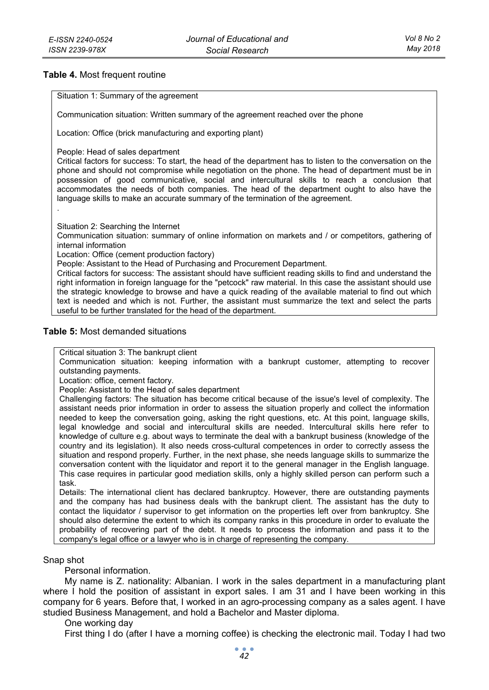### **Table 4.** Most frequent routine

Situation 1: Summary of the agreement

Communication situation: Written summary of the agreement reached over the phone

Location: Office (brick manufacturing and exporting plant)

People: Head of sales department

Critical factors for success: To start, the head of the department has to listen to the conversation on the phone and should not compromise while negotiation on the phone. The head of department must be in possession of good communicative, social and intercultural skills to reach a conclusion that accommodates the needs of both companies. The head of the department ought to also have the language skills to make an accurate summary of the termination of the agreement.

.

Situation 2: Searching the Internet

Communication situation: summary of online information on markets and / or competitors, gathering of internal information

Location: Office (cement production factory)

People: Assistant to the Head of Purchasing and Procurement Department.

Critical factors for success: The assistant should have sufficient reading skills to find and understand the right information in foreign language for the "petcock" raw material. In this case the assistant should use the strategic knowledge to browse and have a quick reading of the available material to find out which text is needed and which is not. Further, the assistant must summarize the text and select the parts useful to be further translated for the head of the department.

#### **Table 5:** Most demanded situations

Critical situation 3: The bankrupt client

Communication situation: keeping information with a bankrupt customer, attempting to recover outstanding payments.

Location: office, cement factory.

People: Assistant to the Head of sales department

Challenging factors: The situation has become critical because of the issue's level of complexity. The assistant needs prior information in order to assess the situation properly and collect the information needed to keep the conversation going, asking the right questions, etc. At this point, language skills, legal knowledge and social and intercultural skills are needed. Intercultural skills here refer to knowledge of culture e.g. about ways to terminate the deal with a bankrupt business (knowledge of the country and its legislation). It also needs cross-cultural competences in order to correctly assess the situation and respond properly. Further, in the next phase, she needs language skills to summarize the conversation content with the liquidator and report it to the general manager in the English language. This case requires in particular good mediation skills, only a highly skilled person can perform such a task.

Details: The international client has declared bankruptcy. However, there are outstanding payments and the company has had business deals with the bankrupt client. The assistant has the duty to contact the liquidator / supervisor to get information on the properties left over from bankruptcy. She should also determine the extent to which its company ranks in this procedure in order to evaluate the probability of recovering part of the debt. It needs to process the information and pass it to the company's legal office or a lawyer who is in charge of representing the company.

#### Snap shot

Personal information.

My name is Z. nationality: Albanian. I work in the sales department in a manufacturing plant where I hold the position of assistant in export sales. I am 31 and I have been working in this company for 6 years. Before that, I worked in an agro-processing company as a sales agent. I have studied Business Management, and hold a Bachelor and Master diploma.

One working day

First thing I do (after I have a morning coffee) is checking the electronic mail. Today I had two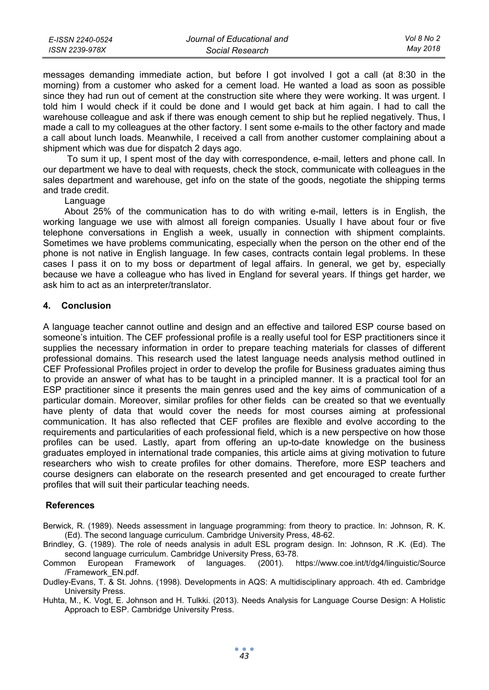| E-ISSN 2240-0524 | Journal of Educational and | Vol 8 No 2 |
|------------------|----------------------------|------------|
| ISSN 2239-978X   | Social Research            | Mav 2018   |

messages demanding immediate action, but before I got involved I got a call (at 8:30 in the morning) from a customer who asked for a cement load. He wanted a load as soon as possible since they had run out of cement at the construction site where they were working. It was urgent. I told him I would check if it could be done and I would get back at him again. I had to call the warehouse colleague and ask if there was enough cement to ship but he replied negatively. Thus, I made a call to my colleagues at the other factory. I sent some e-mails to the other factory and made a call about lunch loads. Meanwhile, I received a call from another customer complaining about a shipment which was due for dispatch 2 days ago.

 To sum it up, I spent most of the day with correspondence, e-mail, letters and phone call. In our department we have to deal with requests, check the stock, communicate with colleagues in the sales department and warehouse, get info on the state of the goods, negotiate the shipping terms and trade credit.

#### Language

About 25% of the communication has to do with writing e-mail, letters is in English, the working language we use with almost all foreign companies. Usually I have about four or five telephone conversations in English a week, usually in connection with shipment complaints. Sometimes we have problems communicating, especially when the person on the other end of the phone is not native in English language. In few cases, contracts contain legal problems. In these cases I pass it on to my boss or department of legal affairs. In general, we get by, especially because we have a colleague who has lived in England for several years. If things get harder, we ask him to act as an interpreter/translator.

#### **4. Conclusion**

A language teacher cannot outline and design and an effective and tailored ESP course based on someone's intuition. The CEF professional profile is a really useful tool for ESP practitioners since it supplies the necessary information in order to prepare teaching materials for classes of different professional domains. This research used the latest language needs analysis method outlined in CEF Professional Profiles project in order to develop the profile for Business graduates aiming thus to provide an answer of what has to be taught in a principled manner. It is a practical tool for an ESP practitioner since it presents the main genres used and the key aims of communication of a particular domain. Moreover, similar profiles for other fields can be created so that we eventually have plenty of data that would cover the needs for most courses aiming at professional communication. It has also reflected that CEF profiles are flexible and evolve according to the requirements and particularities of each professional field, which is a new perspective on how those profiles can be used. Lastly, apart from offering an up-to-date knowledge on the business graduates employed in international trade companies, this article aims at giving motivation to future researchers who wish to create profiles for other domains. Therefore, more ESP teachers and course designers can elaborate on the research presented and get encouraged to create further profiles that will suit their particular teaching needs.

#### **References**

- Berwick, R. (1989). Needs assessment in language programming: from theory to practice. In: Johnson, R. K. (Ed). The second language curriculum. Cambridge University Press, 48-62.
- Brindley, G. (1989). The role of needs analysis in adult ESL program design. In: Johnson, R .K. (Ed). The second language curriculum. Cambridge University Press, 63-78.
- Common European Framework of languages. (2001). https://www.coe.int/t/dg4/linguistic/Source /Framework\_EN.pdf.
- Dudley-Evans, T. & St. Johns. (1998). Developments in AQS: A multidisciplinary approach. 4th ed. Cambridge University Press.
- Huhta, M., K. Vogt, E. Johnson and H. Tulkki. (2013). Needs Analysis for Language Course Design: A Holistic Approach to ESP. Cambridge University Press.